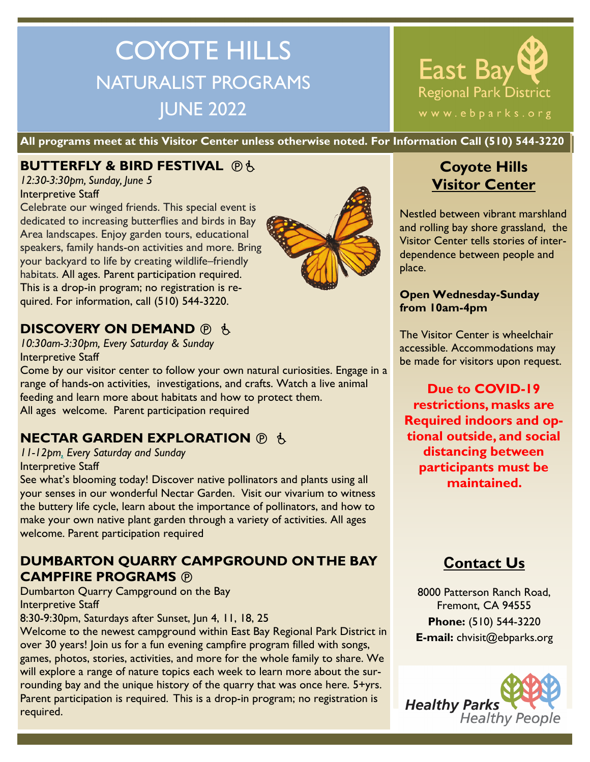# COYOTE HILLS NATURALIST PROGRAMS JUNE 2022

East Bay Regional Park District www.ebparks.org

**All programs meet at this Visitor Center unless otherwise noted. For Information Call (510) 544-3220**

## **BUTTERFLY & BIRD FESTIVAL @6.**

*12:30-3:30pm, Sunday, June 5* Interpretive Staff

Celebrate our winged friends. This special event is dedicated to increasing butterflies and birds in Bay Area landscapes. Enjoy garden tours, educational speakers, family hands-on activities and more. Bring your backyard to life by creating wildlife–friendly habitats. All ages. Parent participation required. This is a drop-in program; no registration is required. For information, call (510) 544-3220.



## **DISCOVERY ON DEMAND ® &**

*10:30am-3:30pm, Every Saturday & Sunday* Interpretive Staff

Come by our visitor center to follow your own natural curiosities. Engage in a range of hands-on activities, investigations, and crafts. Watch a live animal feeding and learn more about habitats and how to protect them. All ages welcome. Parent participation required

## **NECTAR GARDEN EXPLORATION <b>***<b>O b*

*11-12pm, Every Saturday and Sunday*  Interpretive Staff

See what's blooming today! Discover native pollinators and plants using all your senses in our wonderful Nectar Garden. Visit our vivarium to witness the buttery life cycle, learn about the importance of pollinators, and how to make your own native plant garden through a variety of activities. All ages welcome. Parent participation required

#### **DUMBARTON QUARRY CAMPGROUND ON THE BAY CAMPFIRE PROGRAMS**

Dumbarton Quarry Campground on the Bay Interpretive Staff

8:30-9:30pm, Saturdays after Sunset, Jun 4, 11, 18, 25

Welcome to the newest campground within East Bay Regional Park District in over 30 years! Join us for a fun evening campfire program filled with songs, games, photos, stories, activities, and more for the whole family to share. We will explore a range of nature topics each week to learn more about the surrounding bay and the unique history of the quarry that was once here. 5+yrs. Parent participation is required.  This is a drop-in program; no registration is required.

# **Coyote Hills Visitor Center**

Nestled between vibrant marshland and rolling bay shore grassland, the Visitor Center tells stories of interdependence between people and place.

#### **Open Wednesday-Sunday from 10am-4pm**

The Visitor Center is wheelchair accessible. Accommodations may be made for visitors upon request.

**Due to COVID-19 restrictions, masks are Required indoors and optional outside, and social distancing between participants must be maintained.** 

# **Contact Us**

8000 Patterson Ranch Road, Fremont, CA 94555 **Phone:** (510) 544-3220 **E-mail:** chvisit@ebparks.org